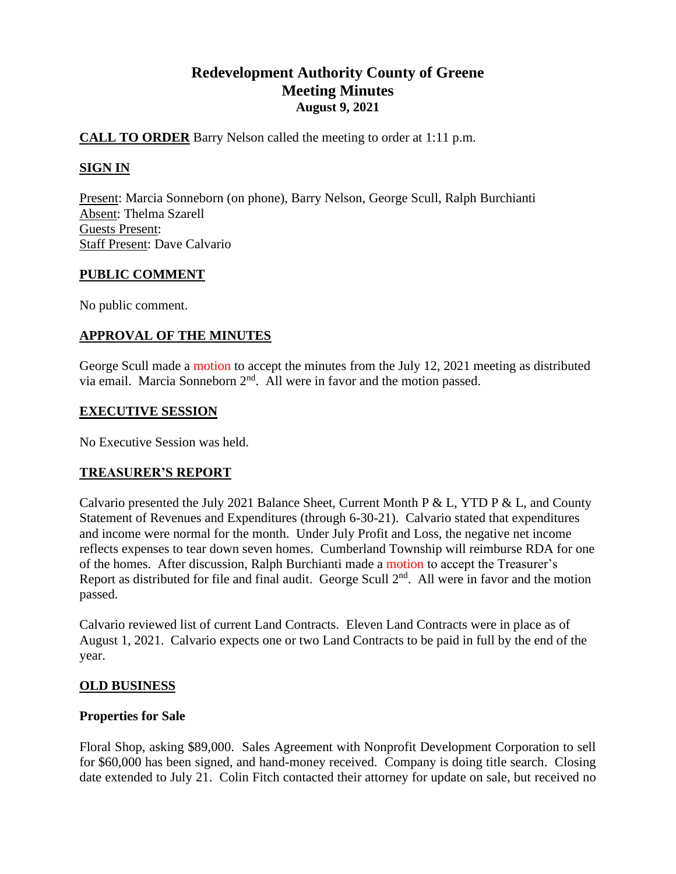# **Redevelopment Authority County of Greene Meeting Minutes August 9, 2021**

# **CALL TO ORDER** Barry Nelson called the meeting to order at 1:11 p.m.

# **SIGN IN**

Present: Marcia Sonneborn (on phone), Barry Nelson, George Scull, Ralph Burchianti Absent: Thelma Szarell Guests Present: Staff Present: Dave Calvario

# **PUBLIC COMMENT**

No public comment.

# **APPROVAL OF THE MINUTES**

George Scull made a motion to accept the minutes from the July 12, 2021 meeting as distributed via email. Marcia Sonneborn  $2<sup>nd</sup>$ . All were in favor and the motion passed.

# **EXECUTIVE SESSION**

No Executive Session was held.

# **TREASURER'S REPORT**

Calvario presented the July 2021 Balance Sheet, Current Month P & L, YTD P & L, and County Statement of Revenues and Expenditures (through 6-30-21). Calvario stated that expenditures and income were normal for the month. Under July Profit and Loss, the negative net income reflects expenses to tear down seven homes. Cumberland Township will reimburse RDA for one of the homes. After discussion, Ralph Burchianti made a motion to accept the Treasurer's Report as distributed for file and final audit. George Scull  $2<sup>nd</sup>$ . All were in favor and the motion passed.

Calvario reviewed list of current Land Contracts. Eleven Land Contracts were in place as of August 1, 2021. Calvario expects one or two Land Contracts to be paid in full by the end of the year.

# **OLD BUSINESS**

# **Properties for Sale**

Floral Shop, asking \$89,000. Sales Agreement with Nonprofit Development Corporation to sell for \$60,000 has been signed, and hand-money received. Company is doing title search. Closing date extended to July 21. Colin Fitch contacted their attorney for update on sale, but received no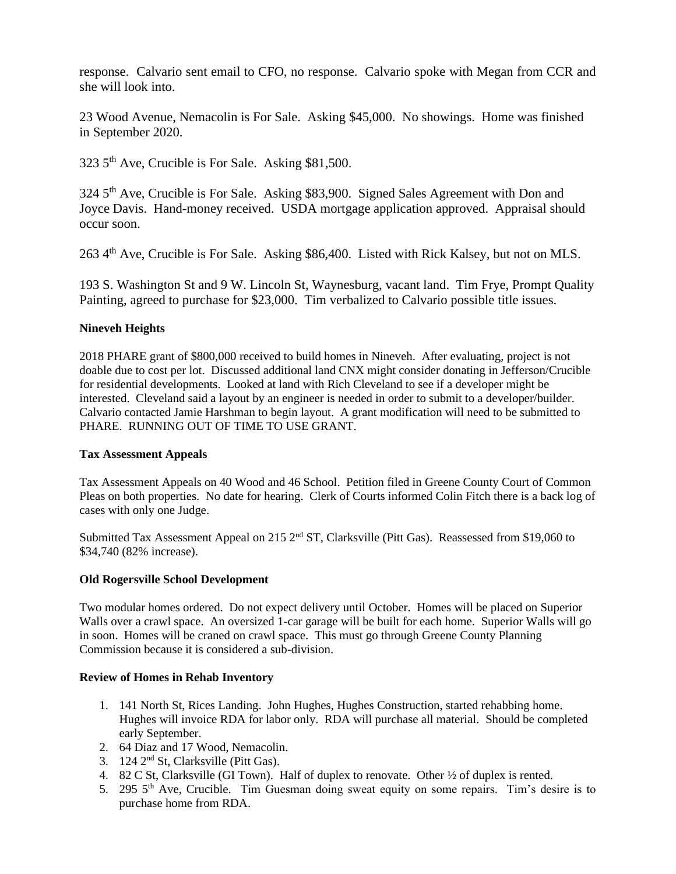response. Calvario sent email to CFO, no response. Calvario spoke with Megan from CCR and she will look into.

23 Wood Avenue, Nemacolin is For Sale. Asking \$45,000. No showings. Home was finished in September 2020.

323 5th Ave, Crucible is For Sale. Asking \$81,500.

324 5<sup>th</sup> Ave, Crucible is For Sale. Asking \$83,900. Signed Sales Agreement with Don and Joyce Davis. Hand-money received. USDA mortgage application approved. Appraisal should occur soon.

263 4<sup>th</sup> Ave, Crucible is For Sale. Asking \$86,400. Listed with Rick Kalsey, but not on MLS.

193 S. Washington St and 9 W. Lincoln St, Waynesburg, vacant land. Tim Frye, Prompt Quality Painting, agreed to purchase for \$23,000. Tim verbalized to Calvario possible title issues.

#### **Nineveh Heights**

2018 PHARE grant of \$800,000 received to build homes in Nineveh. After evaluating, project is not doable due to cost per lot. Discussed additional land CNX might consider donating in Jefferson/Crucible for residential developments. Looked at land with Rich Cleveland to see if a developer might be interested. Cleveland said a layout by an engineer is needed in order to submit to a developer/builder. Calvario contacted Jamie Harshman to begin layout. A grant modification will need to be submitted to PHARE. RUNNING OUT OF TIME TO USE GRANT.

#### **Tax Assessment Appeals**

Tax Assessment Appeals on 40 Wood and 46 School. Petition filed in Greene County Court of Common Pleas on both properties. No date for hearing. Clerk of Courts informed Colin Fitch there is a back log of cases with only one Judge.

Submitted Tax Assessment Appeal on 215 2<sup>nd</sup> ST, Clarksville (Pitt Gas). Reassessed from \$19,060 to \$34,740 (82% increase).

#### **Old Rogersville School Development**

Two modular homes ordered. Do not expect delivery until October. Homes will be placed on Superior Walls over a crawl space. An oversized 1-car garage will be built for each home. Superior Walls will go in soon. Homes will be craned on crawl space. This must go through Greene County Planning Commission because it is considered a sub-division.

#### **Review of Homes in Rehab Inventory**

- 1. 141 North St, Rices Landing. John Hughes, Hughes Construction, started rehabbing home. Hughes will invoice RDA for labor only. RDA will purchase all material. Should be completed early September.
- 2. 64 Diaz and 17 Wood, Nemacolin.
- 3. 124 2nd St, Clarksville (Pitt Gas).
- 4. 82 C St, Clarksville (GI Town). Half of duplex to renovate. Other ½ of duplex is rented.
- 5. 295  $5<sup>th</sup>$  Ave, Crucible. Tim Guesman doing sweat equity on some repairs. Tim's desire is to purchase home from RDA.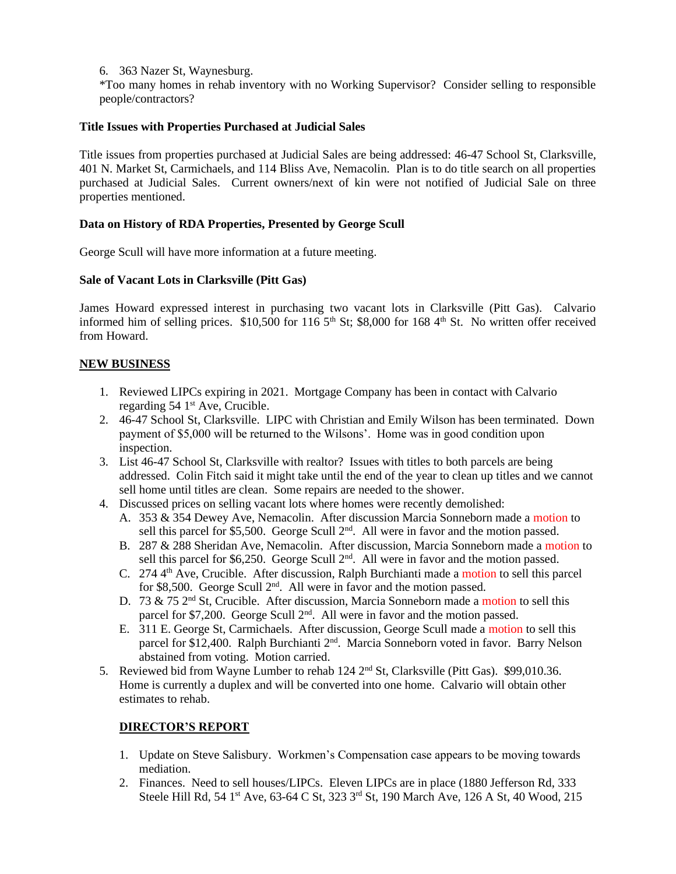6. 363 Nazer St, Waynesburg.

\*Too many homes in rehab inventory with no Working Supervisor? Consider selling to responsible people/contractors?

#### **Title Issues with Properties Purchased at Judicial Sales**

Title issues from properties purchased at Judicial Sales are being addressed: 46-47 School St, Clarksville, 401 N. Market St, Carmichaels, and 114 Bliss Ave, Nemacolin. Plan is to do title search on all properties purchased at Judicial Sales. Current owners/next of kin were not notified of Judicial Sale on three properties mentioned.

#### **Data on History of RDA Properties, Presented by George Scull**

George Scull will have more information at a future meeting.

#### **Sale of Vacant Lots in Clarksville (Pitt Gas)**

James Howard expressed interest in purchasing two vacant lots in Clarksville (Pitt Gas). Calvario informed him of selling prices.  $$10,500$  for  $116\,5<sup>th</sup>$  St; \$8,000 for 168 4<sup>th</sup> St. No written offer received from Howard.

# **NEW BUSINESS**

- 1. Reviewed LIPCs expiring in 2021. Mortgage Company has been in contact with Calvario regarding  $54 \, 1^{\text{st}}$  Ave, Crucible.
- 2. 46-47 School St, Clarksville. LIPC with Christian and Emily Wilson has been terminated. Down payment of \$5,000 will be returned to the Wilsons'. Home was in good condition upon inspection.
- 3. List 46-47 School St, Clarksville with realtor? Issues with titles to both parcels are being addressed. Colin Fitch said it might take until the end of the year to clean up titles and we cannot sell home until titles are clean. Some repairs are needed to the shower.
- 4. Discussed prices on selling vacant lots where homes were recently demolished:
	- A. 353 & 354 Dewey Ave, Nemacolin. After discussion Marcia Sonneborn made a motion to sell this parcel for \$5,500. George Scull 2<sup>nd</sup>. All were in favor and the motion passed.
	- B. 287 & 288 Sheridan Ave, Nemacolin. After discussion, Marcia Sonneborn made a motion to sell this parcel for \$6,250. George Scull 2<sup>nd</sup>. All were in favor and the motion passed.
	- C.  $274.4<sup>th</sup>$  Ave, Crucible. After discussion, Ralph Burchianti made a motion to sell this parcel for \$8,500. George Scull 2<sup>nd</sup>. All were in favor and the motion passed.
	- D. 73 & 75 2<sup>nd</sup> St, Crucible. After discussion, Marcia Sonneborn made a motion to sell this parcel for \$7,200. George Scull  $2<sup>nd</sup>$ . All were in favor and the motion passed.
	- E. 311 E. George St, Carmichaels. After discussion, George Scull made a motion to sell this parcel for \$12,400. Ralph Burchianti  $2<sup>nd</sup>$ . Marcia Sonneborn voted in favor. Barry Nelson abstained from voting. Motion carried.
- 5. Reviewed bid from Wayne Lumber to rehab  $124 \text{ } 2^{\text{nd}}$  St, Clarksville (Pitt Gas). \$99,010.36. Home is currently a duplex and will be converted into one home. Calvario will obtain other estimates to rehab.

#### **DIRECTOR'S REPORT**

- 1. Update on Steve Salisbury. Workmen's Compensation case appears to be moving towards mediation.
- 2. Finances. Need to sell houses/LIPCs. Eleven LIPCs are in place (1880 Jefferson Rd, 333 Steele Hill Rd, 54 1<sup>st</sup> Ave, 63-64 C St, 323 3<sup>rd</sup> St, 190 March Ave, 126 A St, 40 Wood, 215